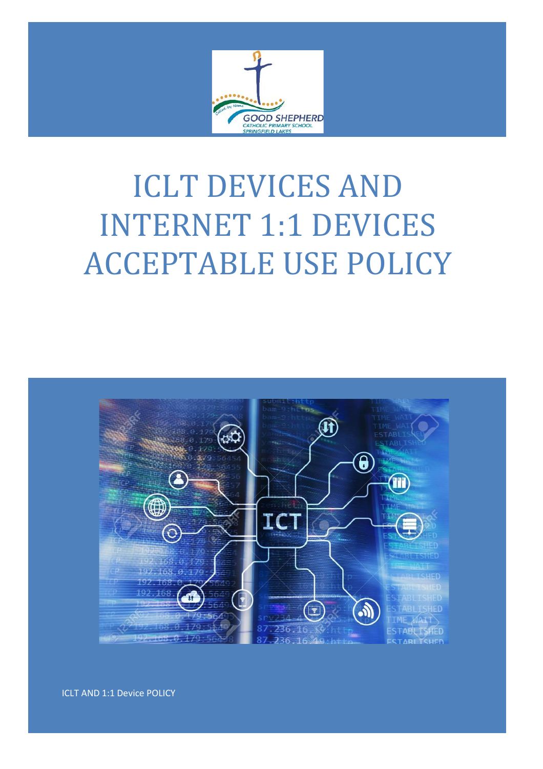

# ICLT DEVICES AND INTERNET 1:1 DEVICES ACCEPTABLE USE POLICY



ICLT AND 1:1 Device POLICY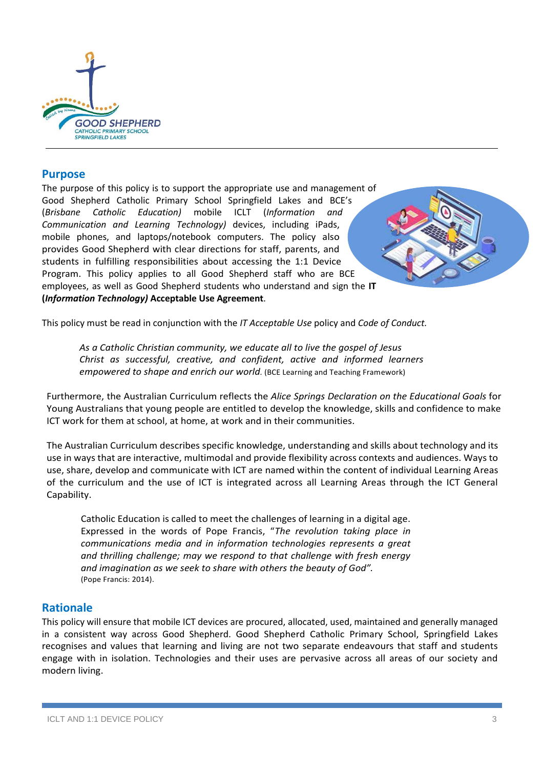

### **Purpose**

The purpose of this policy is to support the appropriate use and management of Good Shepherd Catholic Primary School Springfield Lakes and BCE's (*Brisbane Catholic Education)* mobile ICLT (*Information and Communication and Learning Technology)* devices, including iPads, mobile phones, and laptops/notebook computers. The policy also provides Good Shepherd with clear directions for staff, parents, and students in fulfilling responsibilities about accessing the 1:1 Device Program. This policy applies to all Good Shepherd staff who are BCE employees, as well as Good Shepherd students who understand and sign the **IT (***Information Technology)* **Acceptable Use Agreement**.

This policy must be read in conjunction with the *IT Acceptable Use* policy and *Code of Conduct.*

*As a Catholic Christian community, we educate all to live the gospel of Jesus Christ as successful, creative, and confident, active and informed learners empowered to shape and enrich our world.* (BCE Learning and Teaching Framework)

Furthermore, the Australian Curriculum reflects the *Alice Springs Declaration on the Educational Goals* for Young Australians that young people are entitled to develop the knowledge, skills and confidence to make ICT work for them at school, at home, at work and in their communities.

The Australian Curriculum describes specific knowledge, understanding and skills about technology and its use in ways that are interactive, multimodal and provide flexibility across contexts and audiences. Ways to use, share, develop and communicate with ICT are named within the content of individual Learning Areas of the curriculum and the use of ICT is integrated across all Learning Areas through the ICT General Capability.

Catholic Education is called to meet the challenges of learning in a digital age. Expressed in the words of Pope Francis, "*The revolution taking place in communications media and in information technologies represents a great and thrilling challenge; may we respond to that challenge with fresh energy and imagination as we seek to share with others the beauty of God".* (Pope Francis: 2014).

# **Rationale**

This policy will ensure that mobile ICT devices are procured, allocated, used, maintained and generally managed in a consistent way across Good Shepherd. Good Shepherd Catholic Primary School, Springfield Lakes recognises and values that learning and living are not two separate endeavours that staff and students engage with in isolation. Technologies and their uses are pervasive across all areas of our society and modern living.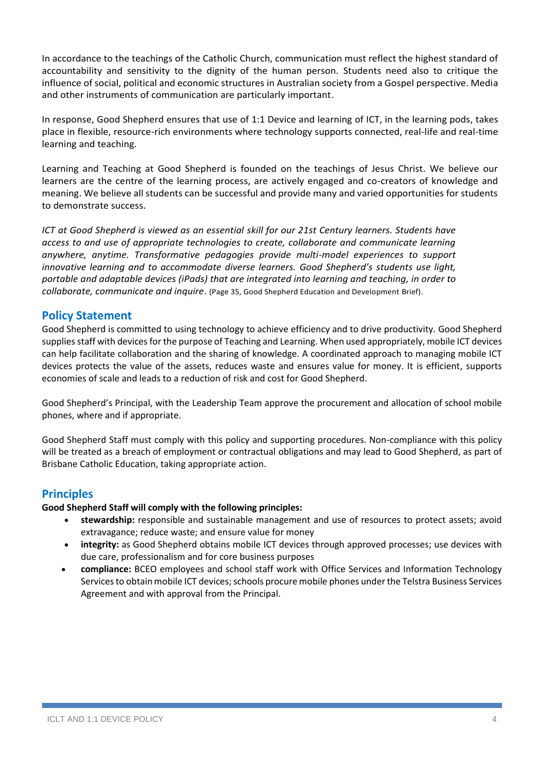In accordance to the teachings of the Catholic Church, communication must reflect the highest standard of accountability and sensitivity to the dignity of the human person. Students need also to critique the influence of social, political and economic structures in Australian society from a Gospel perspective. Media and other instruments of communication are particularly important.

In response, Good Shepherd ensures that use of 1:1 Device and learning of ICT, in the learning pods, takes place in flexible, resource-rich environments where technology supports connected, real-life and real-time learning and teaching.

Learning and Teaching at Good Shepherd is founded on the teachings of Jesus Christ. We believe our learners are the centre of the learning process, are actively engaged and co-creators of knowledge and meaning. We believe all students can be successful and provide many and varied opportunities for students to demonstrate success.

*ICT at Good Shepherd is viewed as an essential skill for our 21st Century learners. Students have access to and use of appropriate technologies to create, collaborate and communicate learning anywhere, anytime. Transformative pedagogies provide multi-model experiences to support innovative learning and to accommodate diverse learners. Good Shepherd's students use light, portable and adaptable devices (iPads) that are integrated into learning and teaching, in order to collaborate, communicate and inquire*. (Page 35, Good Shepherd Education and Development Brief).

# **Policy Statement**

Good Shepherd is committed to using technology to achieve efficiency and to drive productivity. Good Shepherd supplies staff with devices for the purpose of Teaching and Learning. When used appropriately, mobile ICT devices can help facilitate collaboration and the sharing of knowledge. A coordinated approach to managing mobile ICT devices protects the value of the assets, reduces waste and ensures value for money. It is efficient, supports economies of scale and leads to a reduction of risk and cost for Good Shepherd.

Good Shepherd's Principal, with the Leadership Team approve the procurement and allocation of school mobile phones, where and if appropriate.

Good Shepherd Staff must comply with this policy and supporting procedures. Non-compliance with this policy will be treated as a breach of employment or contractual obligations and may lead to Good Shepherd, as part of Brisbane Catholic Education, taking appropriate action.

# **Principles**

**Good Shepherd Staff will comply with the following principles:**

- **stewardship:** responsible and sustainable management and use of resources to protect assets; avoid extravagance; reduce waste; and ensure value for money
- **integrity:** as Good Shepherd obtains mobile ICT devices through approved processes; use devices with due care, professionalism and for core business purposes
- **compliance:** BCEO employees and school staff work with Office Services and Information Technology Services to obtain mobile ICT devices; schools procure mobile phones under the Telstra Business Services Agreement and with approval from the Principal.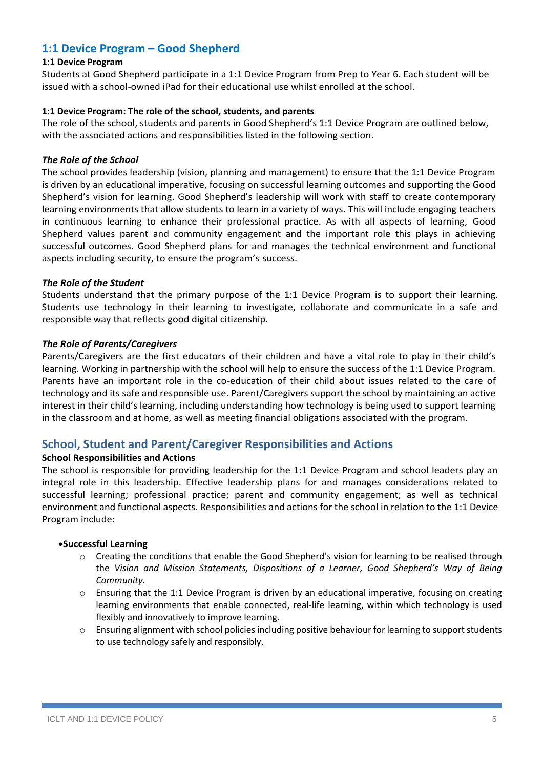# **1:1 Device Program – Good Shepherd**

#### **1:1 Device Program**

Students at Good Shepherd participate in a 1:1 Device Program from Prep to Year 6. Each student will be issued with a school-owned iPad for their educational use whilst enrolled at the school.

#### **1:1 Device Program: The role of the school, students, and parents**

The role of the school, students and parents in Good Shepherd's 1:1 Device Program are outlined below, with the associated actions and responsibilities listed in the following section.

#### *The Role of the School*

The school provides leadership (vision, planning and management) to ensure that the 1:1 Device Program is driven by an educational imperative, focusing on successful learning outcomes and supporting the Good Shepherd's vision for learning. Good Shepherd's leadership will work with staff to create contemporary learning environments that allow students to learn in a variety of ways. This will include engaging teachers in continuous learning to enhance their professional practice. As with all aspects of learning, Good Shepherd values parent and community engagement and the important role this plays in achieving successful outcomes. Good Shepherd plans for and manages the technical environment and functional aspects including security, to ensure the program's success.

#### *The Role of the Student*

Students understand that the primary purpose of the 1:1 Device Program is to support their learning. Students use technology in their learning to investigate, collaborate and communicate in a safe and responsible way that reflects good digital citizenship.

#### *The Role of Parents/Caregivers*

Parents/Caregivers are the first educators of their children and have a vital role to play in their child's learning. Working in partnership with the school will help to ensure the success of the 1:1 Device Program. Parents have an important role in the co-education of their child about issues related to the care of technology and its safe and responsible use. Parent/Caregivers support the school by maintaining an active interest in their child's learning, including understanding how technology is being used to support learning in the classroom and at home, as well as meeting financial obligations associated with the program.

# **School, Student and Parent/Caregiver Responsibilities and Actions**

#### **School Responsibilities and Actions**

The school is responsible for providing leadership for the 1:1 Device Program and school leaders play an integral role in this leadership. Effective leadership plans for and manages considerations related to successful learning; professional practice; parent and community engagement; as well as technical environment and functional aspects. Responsibilities and actions for the school in relation to the 1:1 Device Program include:

#### •**Successful Learning**

- o Creating the conditions that enable the Good Shepherd's vision for learning to be realised through the *Vision and Mission Statements, Dispositions of a Learner, Good Shepherd's Way of Being Community.*
- o Ensuring that the 1:1 Device Program is driven by an educational imperative, focusing on creating learning environments that enable connected, real-life learning, within which technology is used flexibly and innovatively to improve learning.
- o Ensuring alignment with school policies including positive behaviour for learning to support students to use technology safely and responsibly.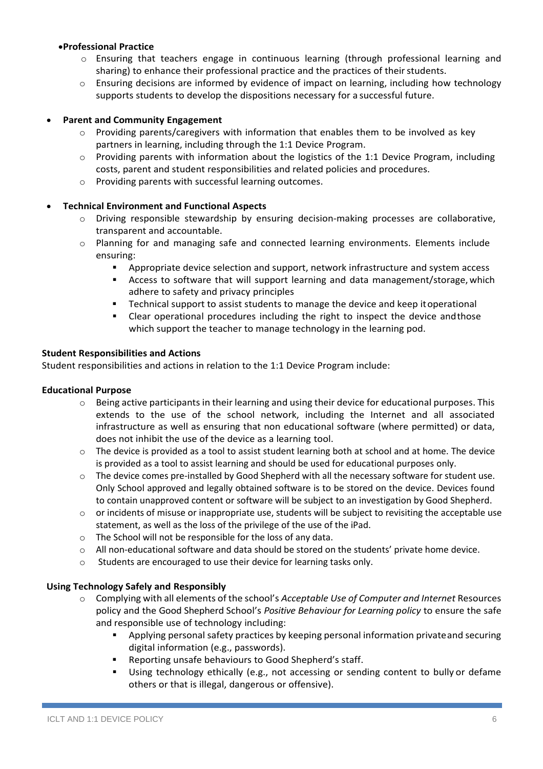#### •**Professional Practice**

- o Ensuring that teachers engage in continuous learning (through professional learning and sharing) to enhance their professional practice and the practices of their students.
- o Ensuring decisions are informed by evidence of impact on learning, including how technology supports students to develop the dispositions necessary for a successful future.

#### • **Parent and Community Engagement**

- $\circ$  Providing parents/caregivers with information that enables them to be involved as key partners in learning, including through the 1:1 Device Program.
- $\circ$  Providing parents with information about the logistics of the 1:1 Device Program, including costs, parent and student responsibilities and related policies and procedures.
- o Providing parents with successful learning outcomes.

#### • **Technical Environment and Functional Aspects**

- o Driving responsible stewardship by ensuring decision-making processes are collaborative, transparent and accountable.
- o Planning for and managing safe and connected learning environments. Elements include ensuring:
	- Appropriate device selection and support, network infrastructure and system access
	- Access to software that will support learning and data management/storage, which adhere to safety and privacy principles
	- **EXECO FIGUREY 1** Technical support to assist students to manage the device and keep itoperational
	- Clear operational procedures including the right to inspect the device andthose which support the teacher to manage technology in the learning pod.

#### **Student Responsibilities and Actions**

Student responsibilities and actions in relation to the 1:1 Device Program include:

#### **Educational Purpose**

- $\circ$  Being active participants in their learning and using their device for educational purposes. This extends to the use of the school network, including the Internet and all associated infrastructure as well as ensuring that non educational software (where permitted) or data, does not inhibit the use of the device as a learning tool.
- $\circ$  The device is provided as a tool to assist student learning both at school and at home. The device is provided as a tool to assist learning and should be used for educational purposes only.
- $\circ$  The device comes pre-installed by Good Shepherd with all the necessary software for student use. Only School approved and legally obtained software is to be stored on the device. Devices found to contain unapproved content or software will be subject to an investigation by Good Shepherd.
- $\circ$  or incidents of misuse or inappropriate use, students will be subject to revisiting the acceptable use statement, as well as the loss of the privilege of the use of the iPad.
- o The School will not be responsible for the loss of any data.
- o All non-educational software and data should be stored on the students' private home device.
- o Students are encouraged to use their device for learning tasks only.

#### **Using Technology Safely and Responsibly**

- o Complying with all elements of the school's *Acceptable Use of Computer and Internet* Resources policy and the Good Shepherd School's *Positive Behaviour for Learning policy* to ensure the safe and responsible use of technology including:
	- Applying personal safety practices by keeping personal information privateand securing digital information (e.g., passwords).
	- Reporting unsafe behaviours to Good Shepherd's staff.
	- Using technology ethically (e.g., not accessing or sending content to bully or defame others or that is illegal, dangerous or offensive).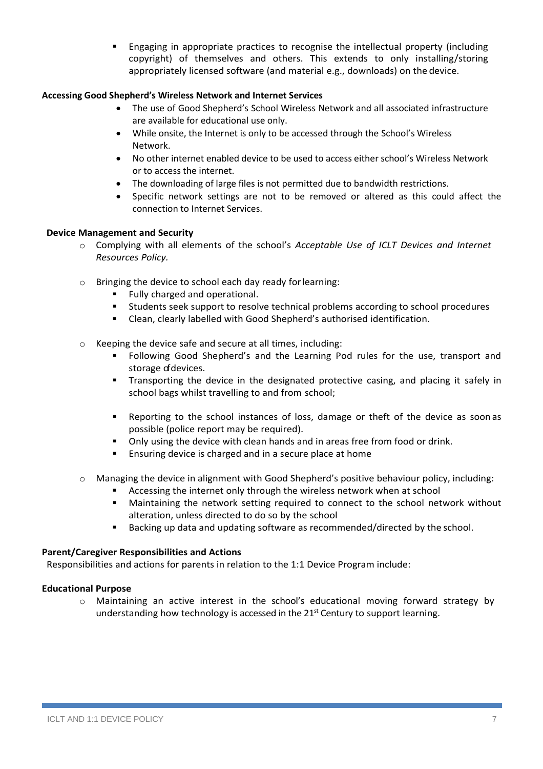**Engaging in appropriate practices to recognise the intellectual property (including** copyright) of themselves and others. This extends to only installing/storing appropriately licensed software (and material e.g., downloads) on the device.

#### **Accessing Good Shepherd's Wireless Network and Internet Services**

- The use of Good Shepherd's School Wireless Network and all associated infrastructure are available for educational use only.
- While onsite, the Internet is only to be accessed through the School's Wireless Network.
- No other internet enabled device to be used to access either school's Wireless Network or to access the internet.
- The downloading of large files is not permitted due to bandwidth restrictions.
- Specific network settings are not to be removed or altered as this could affect the connection to Internet Services.

#### **Device Management and Security**

- o Complying with all elements of the school's *Acceptable Use of ICLT Devices and Internet Resources Policy.*
- o Bringing the device to school each day ready forlearning:
	- Fully charged and operational.
	- Students seek support to resolve technical problems according to school procedures
	- Clean, clearly labelled with Good Shepherd's authorised identification.
- o Keeping the device safe and secure at all times, including:
	- Following Good Shepherd's and the Learning Pod rules for the use, transport and storage of devices.
	- **•** Transporting the device in the designated protective casing, and placing it safely in school bags whilst travelling to and from school;
	- Reporting to the school instances of loss, damage or theft of the device as soon as possible (police report may be required).
	- Only using the device with clean hands and in areas free from food or drink.
	- Ensuring device is charged and in a secure place at home
- $\circ$  Managing the device in alignment with Good Shepherd's positive behaviour policy, including:
	- Accessing the internet only through the wireless network when at school
	- Maintaining the network setting required to connect to the school network without alteration, unless directed to do so by the school
	- Backing up data and updating software as recommended/directed by the school.

#### **Parent/Caregiver Responsibilities and Actions**

Responsibilities and actions for parents in relation to the 1:1 Device Program include:

#### **Educational Purpose**

o Maintaining an active interest in the school's educational moving forward strategy by understanding how technology is accessed in the  $21<sup>st</sup>$  Century to support learning.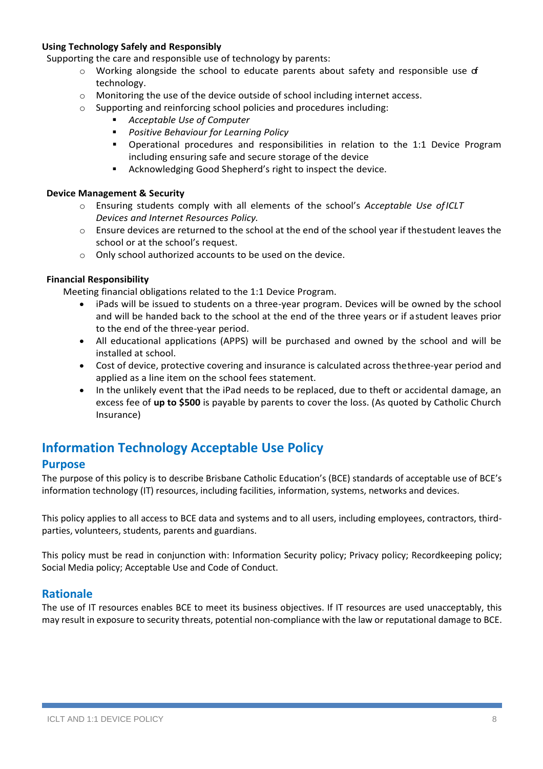#### **Using Technology Safely and Responsibly**

Supporting the care and responsible use of technology by parents:

- $\circ$  Working alongside the school to educate parents about safety and responsible use of technology.
- $\circ$  Monitoring the use of the device outside of school including internet access.
- o Supporting and reinforcing school policies and procedures including:
	- *Acceptable Use of Computer*
	- *Positive Behaviour for Learning Policy*
	- Operational procedures and responsibilities in relation to the 1:1 Device Program including ensuring safe and secure storage of the device
	- Acknowledging Good Shepherd's right to inspect the device.

#### **Device Management & Security**

- o Ensuring students comply with all elements of the school's *Acceptable Use ofICLT Devices and Internet Resources Policy.*
- $\circ$  Ensure devices are returned to the school at the end of the school year if the student leaves the school or at the school's request.
- o Only school authorized accounts to be used on the device.

#### **Financial Responsibility**

Meeting financial obligations related to the 1:1 Device Program.

- iPads will be issued to students on a three-year program. Devices will be owned by the school and will be handed back to the school at the end of the three years or if astudent leaves prior to the end of the three-year period.
- All educational applications (APPS) will be purchased and owned by the school and will be installed at school.
- Cost of device, protective covering and insurance is calculated across thethree-year period and applied as a line item on the school fees statement.
- In the unlikely event that the iPad needs to be replaced, due to theft or accidental damage, an excess fee of **up to \$500** is payable by parents to cover the loss. (As quoted by Catholic Church Insurance)

# **Information Technology Acceptable Use Policy**

# **Purpose**

The purpose of this policy is to describe Brisbane Catholic Education's (BCE) standards of acceptable use of BCE's information technology (IT) resources, including facilities, information, systems, networks and devices.

This policy applies to all access to BCE data and systems and to all users, including employees, contractors, thirdparties, volunteers, students, parents and guardians.

This policy must be read in conjunction with: Information Security policy; Privacy policy; Recordkeeping policy; Social Media policy; Acceptable Use and Code of Conduct.

# **Rationale**

The use of IT resources enables BCE to meet its business objectives. If IT resources are used unacceptably, this may result in exposure to security threats, potential non-compliance with the law or reputational damage to BCE.